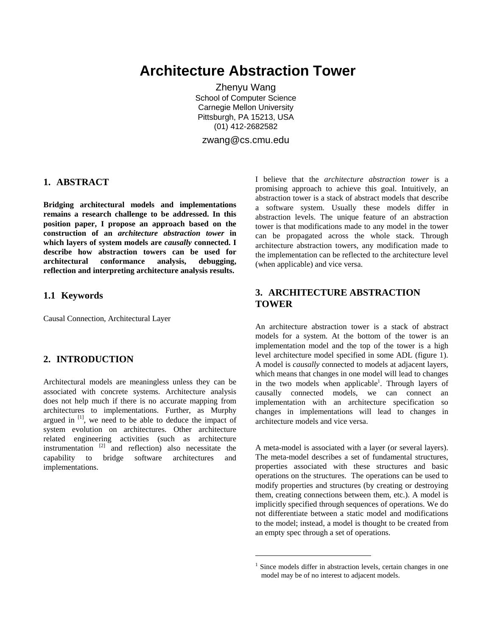# **Architecture Abstraction Tower**

Zhenyu Wang School of Computer Science Carnegie Mellon University Pittsburgh, PA 15213, USA (01) 412-2682582

zwang@cs.cmu.edu

-

## **1. ABSTRACT**

**Bridging architectural models and implementations remains a research challenge to be addressed. In this position paper, I propose an approach based on the construction of an** *architecture abstraction tower* **in which layers of system models are** *causally* **connected. I describe how abstraction towers can be used for architectural conformance analysis, debugging, reflection and interpreting architecture analysis results.**

#### **1.1 Keywords**

Causal Connection, Architectural Layer

#### **2. INTRODUCTION**

Architectural models are meaningless unless they can be associated with concrete systems. Architecture analysis does not help much if there is no accurate mapping from architectures to implementations. Further, as Murphy argued in  $\left[1\right]$ , we need to be able to deduce the impact of system evolution on architectures. Other architecture related engineering activities (such as architecture instrumentation  $[2]$  and reflection) also necessitate the capability to bridge software architectures and implementations.

I believe that the *architecture abstraction tower* is a promising approach to achieve this goal. Intuitively, an abstraction tower is a stack of abstract models that describe a software system. Usually these models differ in abstraction levels. The unique feature of an abstraction tower is that modifications made to any model in the tower can be propagated across the whole stack. Through architecture abstraction towers, any modification made to the implementation can be reflected to the architecture level (when applicable) and vice versa.

## **3. ARCHITECTURE ABSTRACTION TOWER**

An architecture abstraction tower is a stack of abstract models for a system. At the bottom of the tower is an implementation model and the top of the tower is a high level architecture model specified in some ADL (figure 1). A model is *causally* connected to models at adjacent layers, which means that changes in one model will lead to changes in the two models when applicable<sup>1</sup>. Through layers of causally connected models, we can connect an implementation with an architecture specification so changes in implementations will lead to changes in architecture models and vice versa.

A meta-model is associated with a layer (or several layers). The meta-model describes a set of fundamental structures, properties associated with these structures and basic operations on the structures. The operations can be used to modify properties and structures (by creating or destroying them, creating connections between them, etc.). A model is implicitly specified through sequences of operations. We do not differentiate between a static model and modifications to the model; instead, a model is thought to be created from an empty spec through a set of operations.

<sup>&</sup>lt;sup>1</sup> Since models differ in abstraction levels, certain changes in one model may be of no interest to adjacent models.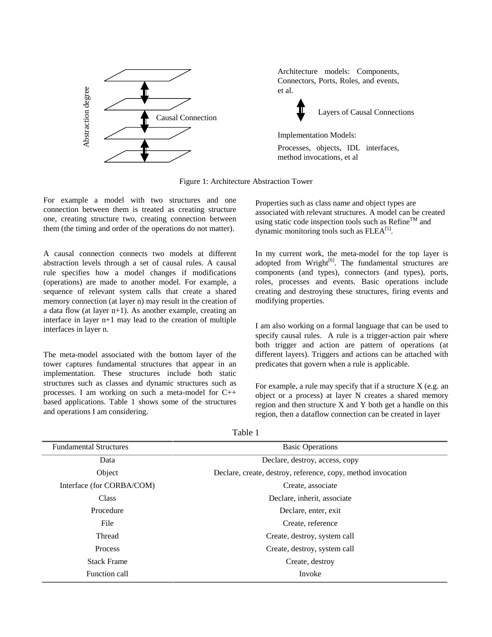

Architecture models: Components, Connectors, Ports, Roles, and events, et al.



Layers of Causal Connections

Implementation Models: Processes, objects, IDL interfaces, method invocations, et al

Figure 1: Architecture Abstraction Tower

For example a model with two structures and one connection between them is treated as creating structure one, creating structure two, creating connection between them (the timing and order of the operations do not matter).

A causal connection connects two models at different abstraction levels through a set of causal rules. A causal rule specifies how a model changes if modifications (operations) are made to another model. For example, a sequence of relevant system calls that create a shared memory connection (at layer n) may result in the creation of a data flow (at layer n+1). As another example, creating an interface in layer n+1 may lead to the creation of multiple interfaces in layer n.

The meta-model associated with the bottom layer of the tower captures fundamental structures that appear in an implementation. These structures include both static structures such as classes and dynamic structures such as processes. I am working on such a meta-model for C++ based applications. Table 1 shows some of the structures and operations I am considering.

Properties such as class name and object types are associated with relevant structures. A model can be created using static code inspection tools such as  $Refine^{TM}$  and dynamic monitoring tools such as  $FLEA^{[5]}$ .

In my current work, the meta-model for the top layer is adopted from Wright $[6]$ . The fundamental structures are components (and types), connectors (and types), ports, roles, processes and events. Basic operations include creating and destroying these structures, firing events and modifying properties.

I am also working on a formal language that can be used to specify causal rules. A rule is a trigger-action pair where both trigger and action are pattern of operations (at different layers). Triggers and actions can be attached with predicates that govern when a rule is applicable.

For example, a rule may specify that if a structure  $X$  (e.g. an object or a process) at layer N creates a shared memory region and then structure X and Y both get a handle on this region, then a dataflow connection can be created in layer

|  | anie |  |
|--|------|--|
|--|------|--|

| <b>Fundamental Structures</b> | <b>Basic Operations</b>                                      |
|-------------------------------|--------------------------------------------------------------|
| Data                          | Declare, destroy, access, copy                               |
| Object                        | Declare, create, destroy, reference, copy, method invocation |
| Interface (for CORBA/COM)     | Create, associate                                            |
| Class                         | Declare, inherit, associate                                  |
| Procedure                     | Declare, enter, exit                                         |
| File                          | Create, reference                                            |
| Thread                        | Create, destroy, system call                                 |
| Process                       | Create, destroy, system call                                 |
| <b>Stack Frame</b>            | Create, destroy                                              |
| Function call                 | Invoke                                                       |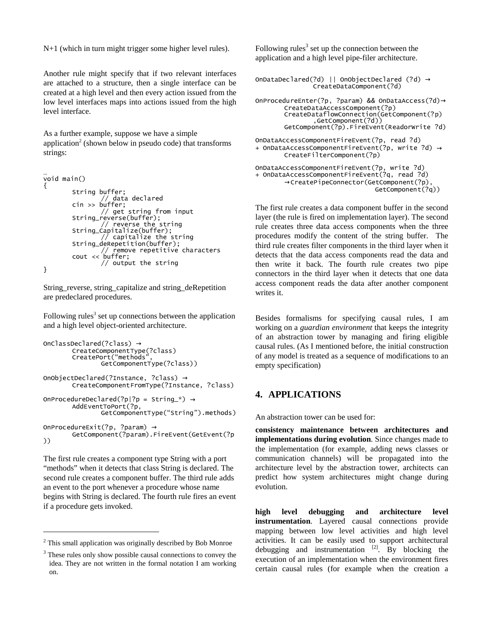N+1 (which in turn might trigger some higher level rules).

Another rule might specify that if two relevant interfaces are attached to a structure, then a single interface can be created at a high level and then every action issued from the low level interfaces maps into actions issued from the high level interface.

As a further example, suppose we have a simple application<sup>2</sup> (shown below in pseudo code) that transforms strings:

```
void main()
        String buffer:
        Sering Surface<br>cin >> buffer;<br>// get string from input
        String_reverse(buffer);
        ser ... // reverse the string<br>String_Capitalize(buffer);
                   capitalize the string `
        String_deRepetition(buffer);
        // output the string
}
```
String\_reverse, string\_capitalize and string\_deRepetition are predeclared procedures.

Following rules<sup>3</sup> set up connections between the application and a high level object-oriented architecture.

```
OnClassDec1ared(?class) \rightarrowCreateComponentType(?class)
         CreatePort("methods"
                  GetComponentType(?class))
OnObjectDeclared(?Instance, ?class) \rightarrowCreateComponentFromType(?Instance, ?class)
OnProcedureDeclared(?p|?p = String_*) \rightarrowAddEventToPort(?p,<br>AddEventToPort(?p,<br>GetComponentType("String").methods)
OnProcedureExit(?p. ?param) \rightarrowGetComponent(?param) FireEvent(GetEvent(?p
)
```
The first rule creates a component type String with a port "methods" when it detects that class String is declared. The second rule creates a component buffer. The third rule adds an event to the port whenever a procedure whose name begins with String is declared. The fourth rule fires an event if a procedure gets invoked.

Following rules<sup>3</sup> set up the connection between the application and a high level pipe-filer architecture.

```
OnDataDeclared(?d) || OnObjectDeclared (?d) \rightarrowCreateDataComponent(?d)
OnProcedureEnter(?p, ?param) && OnDataAccess(?d)→
        CreateDataAccessComponent(?p)
       CreateDataflowConnection(GetComponent(?p)
                ,GetComponent(?d))
        GetComponent(?p).FireEvent(ReadorWrite ?d)
```

```
OnDataAccessComponentFireEvent(?p, read ?d)
+ OnDataAccessComponentFireEvent(?p, write ?d) \rightarrowCreateFilterComponent(?p)OnDataAccessComponentFireEvent(?p, write ?d)<br>+ OnDataAccessComponentFireEvent(?q, read ?d)
```

```
→CreatePipeConnector(GetComponent(?p),
                       GetComponent(?q))
```
The first rule creates a data component buffer in the second layer (the rule is fired on implementation layer). The second rule creates three data access components when the three procedures modify the content of the string buffer. The third rule creates filter components in the third layer when it detects that the data access components read the data and then write it back. The fourth rule creates two pipe connectors in the third layer when it detects that one data access component reads the data after another component writes it.

Besides formalisms for specifying causal rules, I am working on a *guardian environment* that keeps the integrity of an abstraction tower by managing and firing eligible causal rules. (As I mentioned before, the initial construction of any model is treated as a sequence of modifications to an empty specification)

## **4. APPLICATIONS**

An abstraction tower can be used for:

consistency maintenance between architectures and **implementations during evolution.** Since changes made to the implementation (for example, adding news classes or communication channels) will be propagated into the architecture level by the abstraction tower, architects can predict how system architectures might change during evolution.

high level debugging and architecture level instrumentation. Layered causal connections provide mapping between low level activities and high level activities. It can be easily used to support architectural debugging and instrumentation  $^{[2]}$ . By blocking the execution of an implementation when the environment fires certain causal rules (for example when the creation a

 $2$  This small application was originally described by Bob Monroe

<sup>&</sup>lt;sup>3</sup> These rules only show possible causal connections to convey the idea. They are not written in the formal notation I am working on.